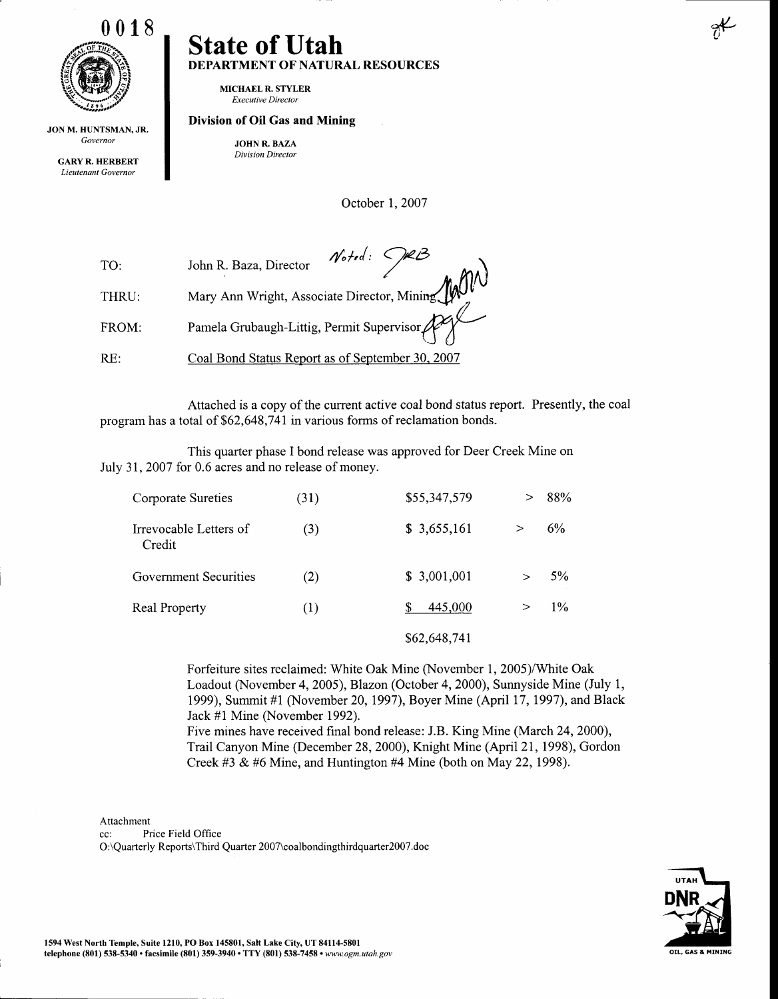

JONM. HUNTSMAN,JR. Governor

GARYR. HERBERT Lieutenant Governor

#### State of Utah DEPARTMENT OF NATURAL RESOURCES

MICHAEL R. STYLER Executive Director

#### Division of Oil Gas and Mining

JOHN R. BAZA Division Director

October L.2007

| TO:   | John R. Baza, Director $\mathcal{N}_{\text{odd}}$ : $\bigcap_{k \in \mathbb{Z}} \mathcal{B}$<br>Mary Ann Wright, Associate Director, Mining |
|-------|---------------------------------------------------------------------------------------------------------------------------------------------|
| THRU: |                                                                                                                                             |
| FROM: | Pamela Grubaugh-Littig, Permit Supervisor                                                                                                   |
| RE:   | Coal Bond Status Report as of September 30, 2007                                                                                            |

Attached is a copy of the current active coal bond status report. Presently, the coal program has a total of \$62,648,741 in various forms of reclamation bonds.

This quarter phase I bond release was approved for Deer Creek Mine on July 31, 2007 for 0.6 acres and no release of money.

| Corporate Sureties               | (31) | \$55,347,579 | 88%   |
|----------------------------------|------|--------------|-------|
| Irrevocable Letters of<br>Credit | (3)  | \$3,655,161  | 6%    |
| Government Securities            | (2)  | \$ 3,001,001 | 5%    |
| <b>Real Property</b>             | (1)  | 445,000      | $1\%$ |
|                                  |      | \$62,648,741 |       |

Forfeifure sites reclaimed: White Oak Mine (November 1, 2005)/White Oak Loadout (November 4, 2005), Blazon (October 4, 2000), Sunnyside Mine (July 1, 1999), Summit #1 (November 20,1997), Boyer Mine (April 17,1997), and Black Jack #1 Mine (November 1992).

Five mines have received final bond release: J.B. King Mine (March 24,2000), Trail Canyon Mine (December 28,2000), Knight Mine (April 2I,1998), Gordon Creek #3 & #6 Mine, and Huntington #4 Mine (both on May 22, 1998).

Attachment

cc: Price Field Office O:\Quarterly Reports\Third Quarter 2007\coalbondingthirdquarter200T.doc



 $v^2$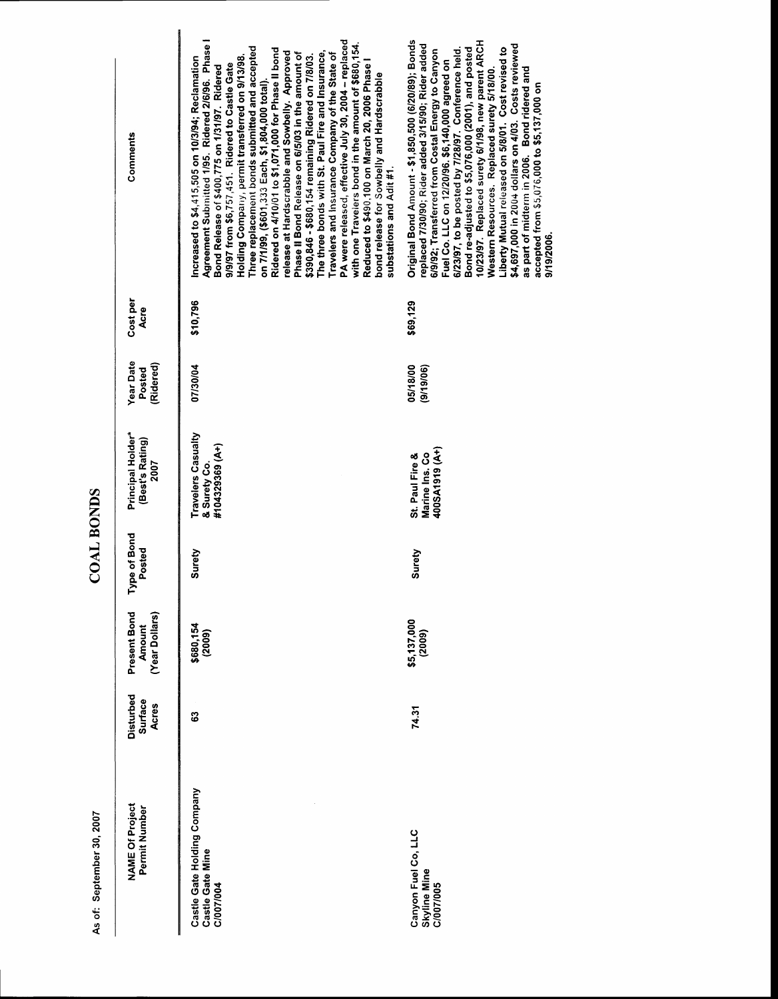| <b>NAME Of Project</b><br>Permit Number                      | Disturbed<br><b>Surface</b><br>Acres | Present Bond<br>(Year Dollars)<br><b>Amount</b> | Type of Bond<br>Posted | Principal Holder*<br>(Best's Rating)<br>2007          | <b>Year Date</b><br>(Ridered)<br>Posted | Cost per<br>Acre | Comments                                                                                                                                                                                                                                                                                                                                                                                                                                                                                                                                                                                                                                                                                                                                                                                                                                                                                                                           |
|--------------------------------------------------------------|--------------------------------------|-------------------------------------------------|------------------------|-------------------------------------------------------|-----------------------------------------|------------------|------------------------------------------------------------------------------------------------------------------------------------------------------------------------------------------------------------------------------------------------------------------------------------------------------------------------------------------------------------------------------------------------------------------------------------------------------------------------------------------------------------------------------------------------------------------------------------------------------------------------------------------------------------------------------------------------------------------------------------------------------------------------------------------------------------------------------------------------------------------------------------------------------------------------------------|
| Castle Gate Holding Company<br>Castle Gate Mine<br>C/007/004 | ශී                                   | \$680,154<br>(2009)                             | Surety                 | Travelers Casualty<br>#104329369 (A+)<br>& Surety Co. | 07/30/04                                | \$10,796         | PA were released, effective July 30, 2004 - replaced<br>Agreement Submitted 1/95. Ridered 2/6/96. Phase<br>with one Travelers bond in the amount of \$680,154<br>Three replacement bonds submitted and accepted<br>Ridered on 4/10/01 to \$1,071,000 for Phase II bond<br>release at Hardscrabble and Sowbelly. Approved<br>The three bonds with St. Paul Fire and Insurance,<br>Phase II Bond Release on 6/5/03 in the amount of<br>Travelers and Insurance Company of the State of<br>\$390,846 - \$680,154 remaining Ridered on 7/8/03.<br>Holding Company, permit transferred on 9/13/98.<br>ncreased to \$4,415,505 on 10/3/94; Reclamation<br>Reduced to \$490,100 on March 20, 2006 Phase I<br>9/9/97 from \$6,757,451. Ridered to Castle Gate<br>Bond Release of \$400,775 on 1/31/97. Ridered<br>bond release for Sowbelly and Hardscrabble<br>on 7/1/99, (\$601,333 Each, \$1,804,000 total)<br>substations and Adit #1. |
| Canyon Fuel Co, LLC<br><b>Skyline Mine</b><br>C/007/005      | 74.31                                | \$5,137,000<br>(2009)                           | Surety                 | 400SA1919 (A+)<br>Marine Ins. Co<br>St. Paul Fire &   | 05/18/00<br>(9/19/06)                   | \$69,129         | Original Bond Amount - \$1,850,500 (6/20/89); Bonds<br>10/23/97. Replaced surety 6/1/98, new parent ARCH<br>replaced 7/30/90; Rider added 3/15/90; Rider added<br>\$4,697,000 in 2004 dollars on 4/03. Costs reviewed<br>Bond re-adjusted to \$5,076,000 (2001), and posted<br>Liberty Mutual released on 5/8/01. Cost revised to<br>6/23/97, to be posted by 7/28/97. Conference held.<br>6/9/92; Transferred from Costal Energy to Canyon<br>Fuel Co. LLC on 12/20/96. \$6,140,000 agreed on<br>as part of midterm in 2006. Bond ridered and<br>Western Resources. Replaced surety 5/18/00.<br>accepted from \$5,076,000 to \$5,137,000 on<br>9/19/2006                                                                                                                                                                                                                                                                          |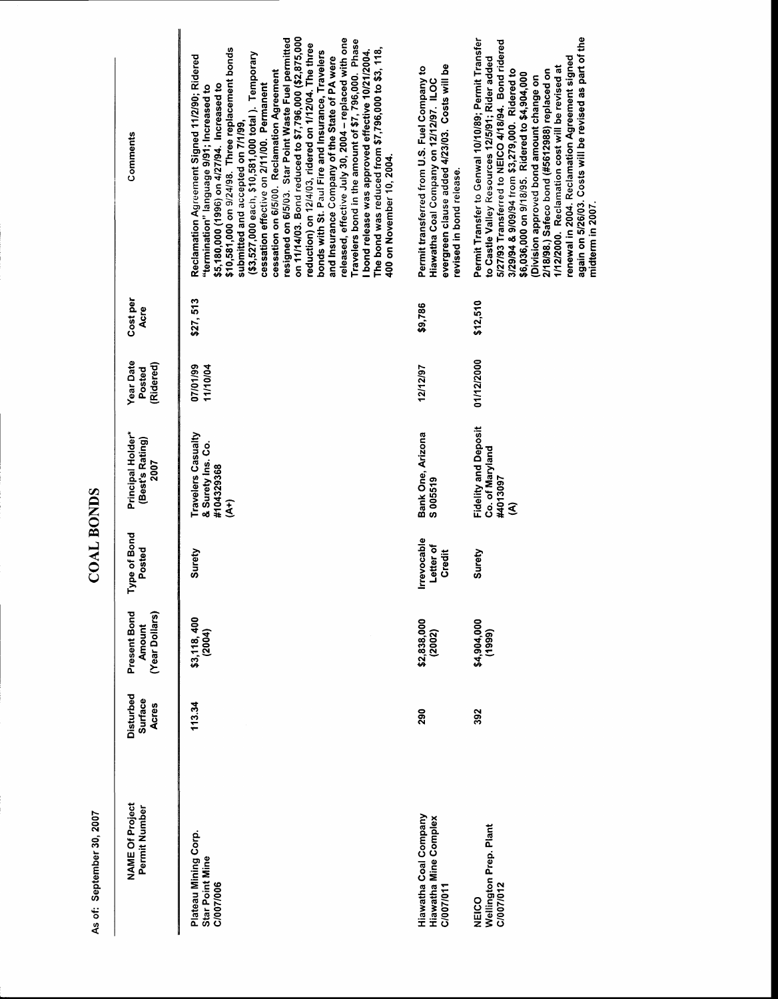**COAL BONDS** 

As of: September 30, 2007

renewal in 2004. Reclamation Agreement signed<br>again on 5/26/03. Costs will be revised as part of the cessation on 6/5/00. Reclamation Agreement<br>resigned on 6/5/03. Star Point Waste Fuel permitted on 11/14/03. Bond reduced to \$7,796,000 (\$2,875,000 released, effective July 30, 2004 - replaced with one Permit Transfer to Genwal 10/10/89; Permit Transfer 5/27/93 Transferred to NEICO 4/18/94. Bond ridered Travelers bond in the amount of \$7, 796,000. Phase reduction) on 12/4/03, ridered on 1/12/04. The three \$10,581,000 on 9/24/98. Three replacement bonds The bond was reduced from \$7,796,000 to \$3, 118, bonds with St. Paul Fire and Insurance, Travelers I bond release was approved effective 10/21/2004. (\$3,527,000 each, \$10,581,000 total). Temporary Reclamation Agreement Signed 11/2/90; Ridered and Insurance Company of the State of PA were to Castle Valley Resources 12/5/91; Rider added evergreen clause added 4/23/03. Costs will be 1/12/2000. Reclamation cost will be revised at Permit transferred from U.S. Fuel Company to 3/29/94 & 9/09/94 from \$3,279,000. Ridered to 2/18/98.) Safeco bond (#5612988) replaced on \$6,036,000 on 9/18/95. Ridered to \$4,904,000 Division approved bond amount change on Hiawatha Coal Company on 12/12/97. ILOC "termination" language 9/91; Increased to<br>\$5,180,000 (1996) on 4/27/94. Increased to cessation effective on 2/11/00. Permanent submitted and accepted on 7/1/99. Comments 400 on November 10, 2004. revised in bond release. Cost per \$27,513 \$12,510 \$9,786 Acre 01/12/2000 **Year Date** (Ridered) 07/01/99 11/10/04 12/12/97 Posted **Fidelity and Deposit** Bank One, Arizona Principal Holder\* Travelers Casualty (Best's Rating) & Surety Ins. Co. Co. of Maryland 2007 #104329368 #4013097 S005519  $\widehat{\mathcal{E}}$ ŝ Type of Bond Irrevocable **Letter of** Posted Surety Surety Credit Present Bond (Year Dollars) \$3,118,400 \$2,838,000 \$4,904,000 Amount  $(2004)$  $(1999)$  $(2002)$ Disturbed **Surface Acres** 113.34 290 392 **NAME Of Project** Permit Number **Hiawatha Coal Company** Hiawatha Mine Complex Wellington Prep. Plant<br>C/007/012 Plateau Mining Corp. **Star Point Mine** C/007/006 C/007/011 NEICO

midterm in 2007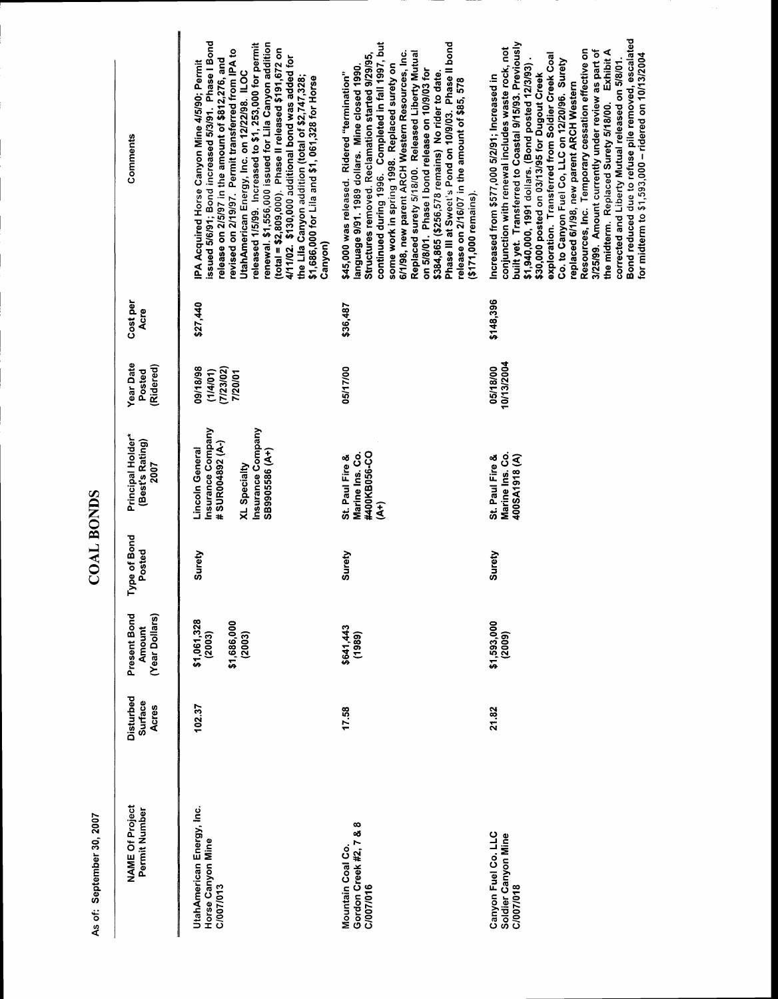| Comments                                     | issued 5/6/91; Bond increased 5/3/91. Phase I Bond<br>renewal. \$1,556,000 issued for Lila Canyon addition<br>released 1/5/99. Increased to \$1, 253,000 for permit<br>(total = \$2,809,000). Phase II released \$191,672 on<br>revised on 2/19/97. Permit transferred from IPA to<br>4/11/02. \$130,000 additional bond was added for<br>release on 2/5/97 in the amount of \$812,276, and<br>IPA Acquired Horse Canyon Mine 4/5/90; Permit<br>UtahAmerican Energy, Inc. on 12/22/98. ILOC<br>the Lila Canyon addition (total of \$2,747,328;<br>\$1,686,000 for Lila and \$1, 061,328 for Horse<br>Canyon) | continued during 1996. Completed in fall 1997, but<br>Phase III at Sweet's Pond on 10/9/03. Phase II bond<br>Replaced surety 5/18/00. Released Liberty Mutual<br>6/1/98, new parent ARCH Western Resources, Inc.<br>Structures removed. Reclamation started 9/29/95,<br>some work in spring 1998. Replaced surety on<br>language 9/91. 1989 dollars. Mine closed 1990.<br>on 5/8/01. Phase I bond release on 10/9/03 for<br>\$45,000 was released. Ridered "termination"<br>\$384,865 (\$256,578 remains) No rider to date.<br>release on 2/16/07 in the amount of \$85, 578<br>$(171,000$ remains) | Bond reduced due to refuse pile removed, escalated<br>built yet. Transferred to Coastal 9/15/93. Previously<br>conjunction with renewal includes waste rock, not<br>Resources, Inc. Temporary cessation effective on<br>3/25/99. Amount currently under review as part of<br>the midterm. Replaced Surety 5/18/00. Exhibit A<br>for midterm to \$1,593,000 - ridered on 10/13/2004<br>exploration. Transferred from Soldier Creek Coal<br>corrected and Liberty Mutual released on 5/8/01.<br>Co. to Canyon Fuel Co, LLC on 12/20/96. Surety<br>\$1,940,000, 1991 dollars. (Bond posted 12/3/93)<br>\$30,000 posted on 03/13/95 for Dugout Creek<br>Increased from \$577,000 5/2/91; Increased in<br>replaced 6/1/98, new parent ARCH Western |
|----------------------------------------------|--------------------------------------------------------------------------------------------------------------------------------------------------------------------------------------------------------------------------------------------------------------------------------------------------------------------------------------------------------------------------------------------------------------------------------------------------------------------------------------------------------------------------------------------------------------------------------------------------------------|-----------------------------------------------------------------------------------------------------------------------------------------------------------------------------------------------------------------------------------------------------------------------------------------------------------------------------------------------------------------------------------------------------------------------------------------------------------------------------------------------------------------------------------------------------------------------------------------------------|-----------------------------------------------------------------------------------------------------------------------------------------------------------------------------------------------------------------------------------------------------------------------------------------------------------------------------------------------------------------------------------------------------------------------------------------------------------------------------------------------------------------------------------------------------------------------------------------------------------------------------------------------------------------------------------------------------------------------------------------------|
| Cost per<br>Acre                             | \$27,440                                                                                                                                                                                                                                                                                                                                                                                                                                                                                                                                                                                                     | \$36,487                                                                                                                                                                                                                                                                                                                                                                                                                                                                                                                                                                                            | \$148,396                                                                                                                                                                                                                                                                                                                                                                                                                                                                                                                                                                                                                                                                                                                                     |
| <b>Year Date</b><br>(Ridered)<br>Posted      | 09/18/98<br>(7/23/02)<br>(1/4/01)<br>7/20/01                                                                                                                                                                                                                                                                                                                                                                                                                                                                                                                                                                 | 05/17/00                                                                                                                                                                                                                                                                                                                                                                                                                                                                                                                                                                                            | 10/13/2004<br>05/18/00                                                                                                                                                                                                                                                                                                                                                                                                                                                                                                                                                                                                                                                                                                                        |
| Principal Holder*<br>(Best's Rating)<br>2007 | Insurance Company<br><b>Insurance Company</b><br>#SUR004892 (A-)<br>Lincoln General<br>SB9905586 (A+)<br>XL Specialty                                                                                                                                                                                                                                                                                                                                                                                                                                                                                        | Marine Ins. Co.<br>#400KB056-CO<br>St. Paul Fire &<br>(خم                                                                                                                                                                                                                                                                                                                                                                                                                                                                                                                                           | Marine Ins. Co.<br>400SA1918 (A)<br>St. Paul Fire &                                                                                                                                                                                                                                                                                                                                                                                                                                                                                                                                                                                                                                                                                           |
| Type of Bond<br>Posted                       | Surety                                                                                                                                                                                                                                                                                                                                                                                                                                                                                                                                                                                                       | Surety                                                                                                                                                                                                                                                                                                                                                                                                                                                                                                                                                                                              | Surety                                                                                                                                                                                                                                                                                                                                                                                                                                                                                                                                                                                                                                                                                                                                        |
| Present Bond<br>(Year Dollars)<br>Amount     | \$1,061,328<br>\$1,686,000<br>(2003)<br>(2003)                                                                                                                                                                                                                                                                                                                                                                                                                                                                                                                                                               | \$641,443<br>(989)                                                                                                                                                                                                                                                                                                                                                                                                                                                                                                                                                                                  | $$1,593,000$<br>(2009)                                                                                                                                                                                                                                                                                                                                                                                                                                                                                                                                                                                                                                                                                                                        |
| Disturbed<br><b>Surface</b><br>Acres         | 102.37                                                                                                                                                                                                                                                                                                                                                                                                                                                                                                                                                                                                       | 17.58                                                                                                                                                                                                                                                                                                                                                                                                                                                                                                                                                                                               | 21.82                                                                                                                                                                                                                                                                                                                                                                                                                                                                                                                                                                                                                                                                                                                                         |
| <b>NAME Of Project</b><br>Permit Number      | UtahAmerican Energy, Inc.<br>Horse Canyon Mine<br>C/007/013                                                                                                                                                                                                                                                                                                                                                                                                                                                                                                                                                  | Gordon Creek #2, 7 & 8<br>Mountain Coal Co.<br>C/007/016                                                                                                                                                                                                                                                                                                                                                                                                                                                                                                                                            | Canyon Fuel Co. LLC<br>Soldier Canyon Mine<br>C/007/018                                                                                                                                                                                                                                                                                                                                                                                                                                                                                                                                                                                                                                                                                       |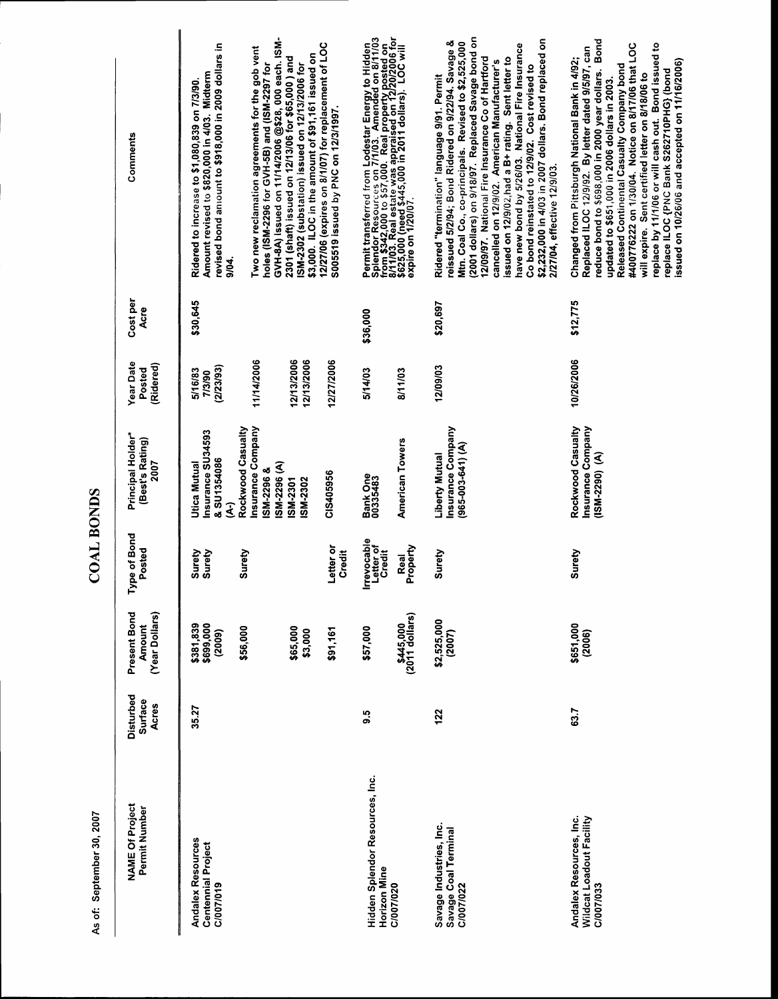| Comments                                        | GVH-8A) issued on 11/14/2006 @\$28, 000 each. ISM-<br>revised bond amount to \$918,000 in 2009 dollars in<br>Two new reclamation agreements for the gob vent<br>\$3,000. ILOC in the amount of \$91,161 issued on<br>2301 (shaft) issued on 12/13/06 for \$65,000 ) and<br>ISM-2302 (substation) issued on 12/13/2006 for<br>holes (ISM-2296 for GVH-5B) and (ISM-2297 for<br>Amount revised to \$820,000 in 4/03. Midterm<br>Ridered to increase to \$1,080,839 on 7/3/90.<br>9/04. | 12/27/06 (expires on 8/1/07) for replacement of LOC<br>S005519 issued by PNC on 12/3/1997. | Permit transferred from Lodestar Energy to Hidden<br>Splendor Resources on 7/1/03. Amended on 8/11/03<br>from \$342,000 to \$57,000. Real property posted on<br>\$625,000 (need \$445,000 in 2011 dollars). LOC will<br>expire on 1/20/07. |                             | (2001 dollars) on 9/18/97. Replaced Savage bond on<br>\$2,232,000 in 4/03 in 2007 dollars. Bond replaced on<br>reissued 5/2/94; Bond Ridered on 9/22/94. Savage &<br>Mtn. Coal Co., co-principals. Revised to \$2,525,000<br>have new bond by 5/26/03. National Fire Insurance<br>12/09/97. National Fire Insurance Co of Hartford<br>ssued on 12/9/02, had a B+ rating. Sent letter to<br>cancelled on 12/9/02. American Manufacturer's<br>Co bond reinstated to 12/9/02. Cost revised to<br>Ridered "termination" language 9/91. Permit<br>2/27/04, effective 12/9/03. | Bond<br>replace by 11/1/06 or will cash out. Bond issued to<br>#400776222 on 1/30/04. Notice on 8/17/06 that LOC<br>Replaced ILOC 12/9/92. By letter dated 9/5/97, can<br>Changed from Pittsburgh National Bank in 4/92;<br>issued on 10/26/06 and accepted on 11/16/2006)<br>Released Continental Casualty Company bond<br>reduce bond to \$698,000 in 2000 year dollars.<br>replace ILOC {PNC Bank S262710PHG} (bond<br>will expire. Sent certified letter on 8/18/06 to<br>updated to \$651,000 in 2006 dollars in 2003. |
|-------------------------------------------------|--------------------------------------------------------------------------------------------------------------------------------------------------------------------------------------------------------------------------------------------------------------------------------------------------------------------------------------------------------------------------------------------------------------------------------------------------------------------------------------|--------------------------------------------------------------------------------------------|--------------------------------------------------------------------------------------------------------------------------------------------------------------------------------------------------------------------------------------------|-----------------------------|--------------------------------------------------------------------------------------------------------------------------------------------------------------------------------------------------------------------------------------------------------------------------------------------------------------------------------------------------------------------------------------------------------------------------------------------------------------------------------------------------------------------------------------------------------------------------|-----------------------------------------------------------------------------------------------------------------------------------------------------------------------------------------------------------------------------------------------------------------------------------------------------------------------------------------------------------------------------------------------------------------------------------------------------------------------------------------------------------------------------|
| Cost per<br>Acre                                | \$30,645                                                                                                                                                                                                                                                                                                                                                                                                                                                                             |                                                                                            | \$36,000                                                                                                                                                                                                                                   |                             | \$20,697                                                                                                                                                                                                                                                                                                                                                                                                                                                                                                                                                                 | \$12,775                                                                                                                                                                                                                                                                                                                                                                                                                                                                                                                    |
| <b>Year Date</b><br>(Ridered)<br>Posted         | 12/13/2006<br>11/14/2006<br>12/13/2006<br>(2/23/93)<br>5/16/83<br>7/3/90                                                                                                                                                                                                                                                                                                                                                                                                             | 12/27/2006                                                                                 | 5/14/03                                                                                                                                                                                                                                    | 8/11/03                     | 12/09/03                                                                                                                                                                                                                                                                                                                                                                                                                                                                                                                                                                 | 10/26/2006                                                                                                                                                                                                                                                                                                                                                                                                                                                                                                                  |
| Principal Holder*<br>(Best's Rating)<br>2007    | Insurance Company<br>Rockwood Casualty<br>Insurance SU34593<br>& SU1354086<br>Utica Mutual<br>(A) 3622-MSI<br><b>SM-2296 &amp;</b><br>SM-2301<br>SM-2302<br>3                                                                                                                                                                                                                                                                                                                        | CIS405956                                                                                  | <b>Bank One</b><br>00335483                                                                                                                                                                                                                | American Towers             | Insurance Company<br>965-003-641)(A)<br>Liberty Mutual                                                                                                                                                                                                                                                                                                                                                                                                                                                                                                                   | Rockwood Casualty<br><b>Insurance Company</b><br>$(15M-2290) (A)$                                                                                                                                                                                                                                                                                                                                                                                                                                                           |
| ype of Bond<br>Posted                           | Surety<br>Surety<br>Surety                                                                                                                                                                                                                                                                                                                                                                                                                                                           | Letter or<br>Credit                                                                        | <b>Irrevocable</b><br>Letter of<br>Credit                                                                                                                                                                                                  | Property<br><b>Real</b>     | Surety                                                                                                                                                                                                                                                                                                                                                                                                                                                                                                                                                                   | Surety                                                                                                                                                                                                                                                                                                                                                                                                                                                                                                                      |
| Present Bond<br>(Year Dollars)<br><b>Amount</b> | \$381,839<br>\$699,000<br>\$56,000<br>\$65,000<br>\$3,000<br>(2009)                                                                                                                                                                                                                                                                                                                                                                                                                  | \$91,161                                                                                   | \$57,000                                                                                                                                                                                                                                   | \$445,000<br>(2011 dollars) | \$2,525,000<br>(2007)                                                                                                                                                                                                                                                                                                                                                                                                                                                                                                                                                    | \$651,000<br>(2006)                                                                                                                                                                                                                                                                                                                                                                                                                                                                                                         |
| Disturbed<br><b>Surface</b><br>Acres            | 35.27                                                                                                                                                                                                                                                                                                                                                                                                                                                                                |                                                                                            | S.6                                                                                                                                                                                                                                        |                             | 122                                                                                                                                                                                                                                                                                                                                                                                                                                                                                                                                                                      | 63.7                                                                                                                                                                                                                                                                                                                                                                                                                                                                                                                        |
| <b>NAME Of Project</b><br>Permit Number         | Andalex Resources<br><b>Centennial Project</b><br>C/007/019                                                                                                                                                                                                                                                                                                                                                                                                                          |                                                                                            | Hidden Splendor Resources, Inc.<br>Horizon Mine                                                                                                                                                                                            | C/007/020                   | Savage Industries, Inc.<br>Savage Coal Terminal<br>C/007/022                                                                                                                                                                                                                                                                                                                                                                                                                                                                                                             | Andalex Resources, Inc.<br>Wildcat Loadout Facility<br>C/007/033                                                                                                                                                                                                                                                                                                                                                                                                                                                            |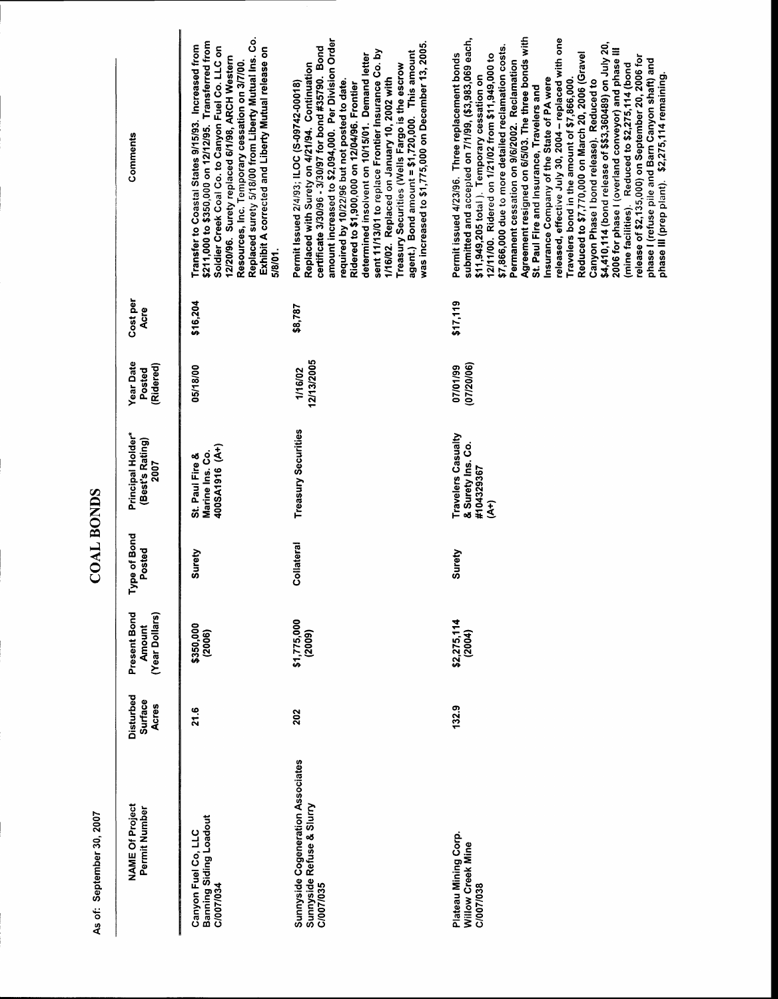| <b>NAME Of Project</b><br>Permit Number                                            | Disturbed<br><b>Surface</b><br>Acres | Present Bond<br>(Year Dollars)<br><b>Amount</b> | Type of Bond<br>Posted | Principal Holder*<br>(Best's Rating)<br><b>2007</b>               | <b>Year Date</b><br>(Ridered)<br>Posted | Cost per<br>Acre | Comments                                                                                                                                                                                                                                                                                                                                                                                                                                                                                                                                                                                                                                                                                                                                                                                                                                                                                                                                                                                                 |
|------------------------------------------------------------------------------------|--------------------------------------|-------------------------------------------------|------------------------|-------------------------------------------------------------------|-----------------------------------------|------------------|----------------------------------------------------------------------------------------------------------------------------------------------------------------------------------------------------------------------------------------------------------------------------------------------------------------------------------------------------------------------------------------------------------------------------------------------------------------------------------------------------------------------------------------------------------------------------------------------------------------------------------------------------------------------------------------------------------------------------------------------------------------------------------------------------------------------------------------------------------------------------------------------------------------------------------------------------------------------------------------------------------|
| Banning Siding Loadout<br>C/007/034<br>Canyon Fuel Co, LLC                         | 21.6                                 | \$350,000<br>(2006)                             | Surety                 | 400SA1916 (A+)<br>Marine Ins. Co.<br>St. Paul Fire &              | 05/18/00                                | \$16,204         | Replaced surety 5/18/00 from Liberty Mutual Ins. Co.<br>\$211,000 to \$350,000 on 12/12/95. Transferred from<br>Transfer to Coastal States 9/15/93. Increased from<br>Soldier Creek Coal Co. to Canyon Fuel Co. LLC on<br>Exhibit A corrected and Liberty Mutual release on<br>12/20/96. Surety replaced 6/1/98, ARCH Western<br>Resources, Inc. Temporary cessation on 3/7/00.<br>5/8/01.                                                                                                                                                                                                                                                                                                                                                                                                                                                                                                                                                                                                               |
| <b>Sunnyside Cogeneration Associates</b><br>Sunnyside Refuse & Slurry<br>C/007/035 | 202                                  | $$1,775,000$<br>(2009)                          | Collateral             | Treasury Securities                                               | 12/13/2005<br>1/16/02                   | \$8,787          | amount increased to \$2,094,000. Per Division Order<br>was increased to \$1,775,000 on December 13, 2005.<br>certificate 3/30/96 - 3/30/97 for bond #35790. Bond<br>sent 11/13/01 to replace Frontier Insurance Co. by<br>agent.) Bond amount = \$1,720,000. This amount<br>determined insolvent on 10/15/01. Demand letter<br>Replaced with Surety on 4/21/94. Continuation<br>Treasury Securities (Wells Fargo is the escrow<br>1/16/02. Replaced on January 10, 2002 with<br>required by 10/22/96 but not posted to date.<br>Permit Issued 2/4/93; ILOC (S-09742-00018)<br>Ridered to \$1,900,000 on 12/04/96. Frontier                                                                                                                                                                                                                                                                                                                                                                               |
| Plateau Mining Corp.<br>Willow Creek Mine<br>C/007/038                             | 132.9                                | \$2,275,114<br>(2004)                           | Surety                 | <b>Travelers Casualty</b><br>& Surety Ins. Co.<br>#104329367<br>£ | (07/20/06)<br>07/01/99                  | \$17,119         | Agreement resigned on 6/5/03. The three bonds with<br>submitted and accepted on 7/1/99, (\$3,983,069 each,<br>released, effective July 30, 2004 - replaced with one<br>\$4,410,114 (bond release of \$\$3,360489) on July 20,<br>\$7,866,000 due to more detailed reclamation costs.<br>2006 for phase I (overland conveyor) and phase III<br>Permit issued 4/23/96. Three replacement bonds<br>Reduced to \$7,770,000 on March 20, 2006 (Gravel<br>12/11/00. Ridered on 1/21/02 from \$11,949,000 to<br>release of \$2,135,000) on September 20, 2006 for<br>phase I (refuse pile and Barn Canyon shaft) and<br>Permanent cessation on 9/6/2002. Reclamation<br>(mine facilities). Reduced to \$2,275,114 (bond<br>phase III (prep plant). \$2,275,114 remaining.<br>\$11,949,205 total ). Temporary cessation on<br>Insurance Company of the State of PA were<br>Canyon Phase I bond release). Reduced to<br>Travelers bond in the amount of \$7,866,000<br>St. Paul Fire and Insurance, Travelers and |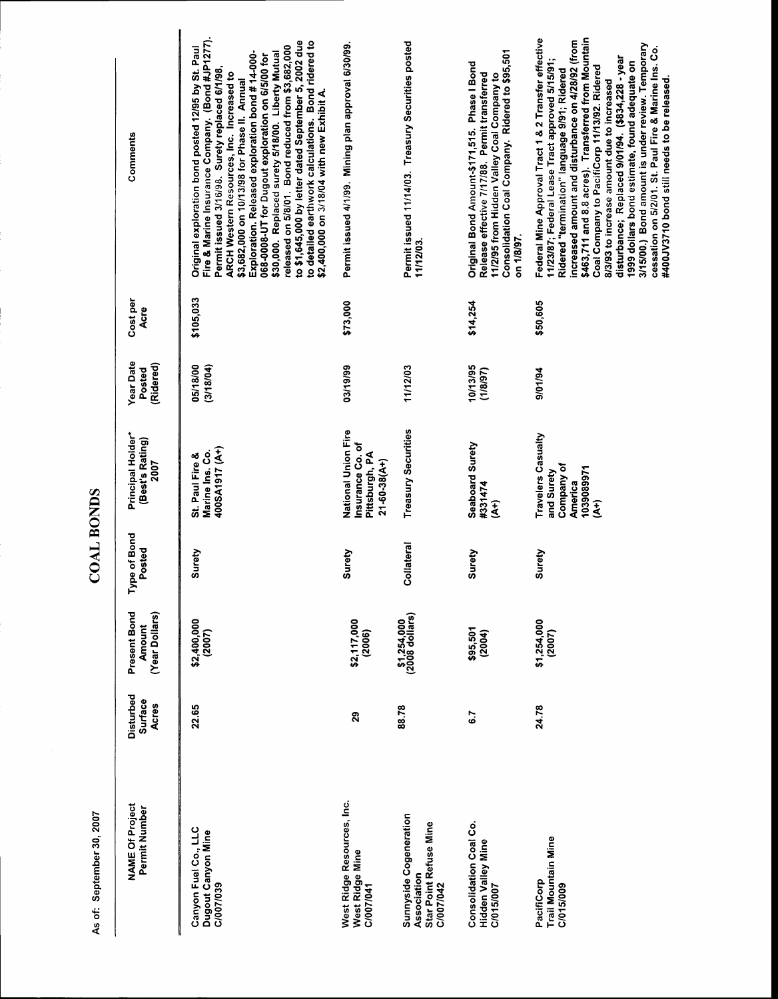| <b>NAME Of Project</b><br>Permit Number                                      | Disturbed<br><b>Surface</b><br>Acres | Present Bond<br>(Year Dollars)<br><b>Amount</b> | Type of Bond<br>Posted | Principal Holder*<br>(Best's Rating)<br>2007                                        | <b>Year Date</b><br>(Ridered)<br>Posted | Cost per<br>Acre | Comments                                                                                                                                                                                                                                                                                                                                                                                                                                                                                                                                                                                                                            |
|------------------------------------------------------------------------------|--------------------------------------|-------------------------------------------------|------------------------|-------------------------------------------------------------------------------------|-----------------------------------------|------------------|-------------------------------------------------------------------------------------------------------------------------------------------------------------------------------------------------------------------------------------------------------------------------------------------------------------------------------------------------------------------------------------------------------------------------------------------------------------------------------------------------------------------------------------------------------------------------------------------------------------------------------------|
| Canyon Fuel Co., LLC<br>Dugout Canyon Mine<br>C/007/039                      | 22.65                                | \$2,400,000<br>(2007)                           | Surety                 | 400SA1917 (A+)<br>Marine Ins. Co.<br>St. Paul Fire &                                | 05/18/00<br>(3/18/04)                   | \$105,033        | Fire & Marine Insurance Company. (Bond #JP1277).<br>to \$1,645,000 by letter dated September 5, 2002 due<br>to detailed earthwork calculations. Bond ridered to<br>released on 5/8/01. Bond reduced from \$3,682,000<br>Original exploration bond posted 12/95 by St. Paul<br>\$30,000. Replaced surety 5/18/00. Liberty Mutual<br>Exploration. Released exploration bond #14-000-<br>068-0008-UT for Dugout exploration on 6/5/00 for<br>Permit issued 3/16/98. Surety replaced 6/1/98,<br>ARCH Western Resources, Inc. Increased to<br>\$3,682,000 on 10/13/98 for Phase II. Annual<br>\$2,400,000 on 3/18/04 with new Exhibit A. |
| West Ridge Resources, Inc.<br>West Ridge Mine<br>C/007/041                   | 29                                   | \$2,117,000<br>(2006)                           | Surety                 | National Union Fire<br>Insurance Co. of<br>Pittsburgh, PA<br>$21 - 60 - 38(A+)$     | 03/19/99                                | \$73,000         | Permit issued 4/1/99. Mining plan approval 6/30/99.                                                                                                                                                                                                                                                                                                                                                                                                                                                                                                                                                                                 |
| Sunnyside Cogeneration<br>Star Point Refuse Mine<br>Association<br>C/007/042 | 88.78                                | \$1,254,000<br>(2008 dollars)                   | Collateral             | Treasury Securities                                                                 | 11/12/03                                |                  | Permit issued 11/14/03. Treasury Securities posted<br>11/12/03                                                                                                                                                                                                                                                                                                                                                                                                                                                                                                                                                                      |
| Consolidation Coal Co.<br>Hidden Valley Mine<br>C/015/007                    | 6.7                                  | \$95,501<br>(2004)                              | Surety                 | Seaboard Surety<br>#331474<br>E                                                     | 10/13/95<br>(18/87)                     | \$14,254         | Consolidation Coal Company. Ridered to \$95,501<br>Original Bond Amount-\$171,515. Phase I Bond<br>Release effective 7/17/88. Permit transferred<br>11/2/95 from Hidden Valley Coal Company to<br>on 1/8/97.                                                                                                                                                                                                                                                                                                                                                                                                                        |
| Trail Mountain Mine<br>PacifiCorp<br>C/015/009                               | 24.78                                | \$1,254,000<br>(2007)                           | Surety                 | Travelers Casualty<br>Company of<br>1039089971<br>and Surety<br><b>America</b><br>£ | 9/01/94                                 | \$50,605         | \$463,711 and 8.8 acres). Transferred from Mountain<br>Federal Mine Approval Tract 1 & 2 Transfer effective<br>increased amount and disturbance on 4/28/92 (from<br>3/15/00.) Bond amount is under review. Temporary<br>cessation on 5/2/01. St. Paul Fire & Marine Ins. Co.<br>disturbance; Replaced 9/01/94. (\$834,228 - year<br>11/23/87; Federal Lease Tract approved 5/15/91;<br>1999 dollars bond estimate, found adequate on<br>Coal Company to PacifiCorp 11/13/92. Ridered<br>Ridered "termination" language 9/91; Ridered<br>#400JV3710 bond still needs to be released.<br>8/3/93 to increase amount due to increased   |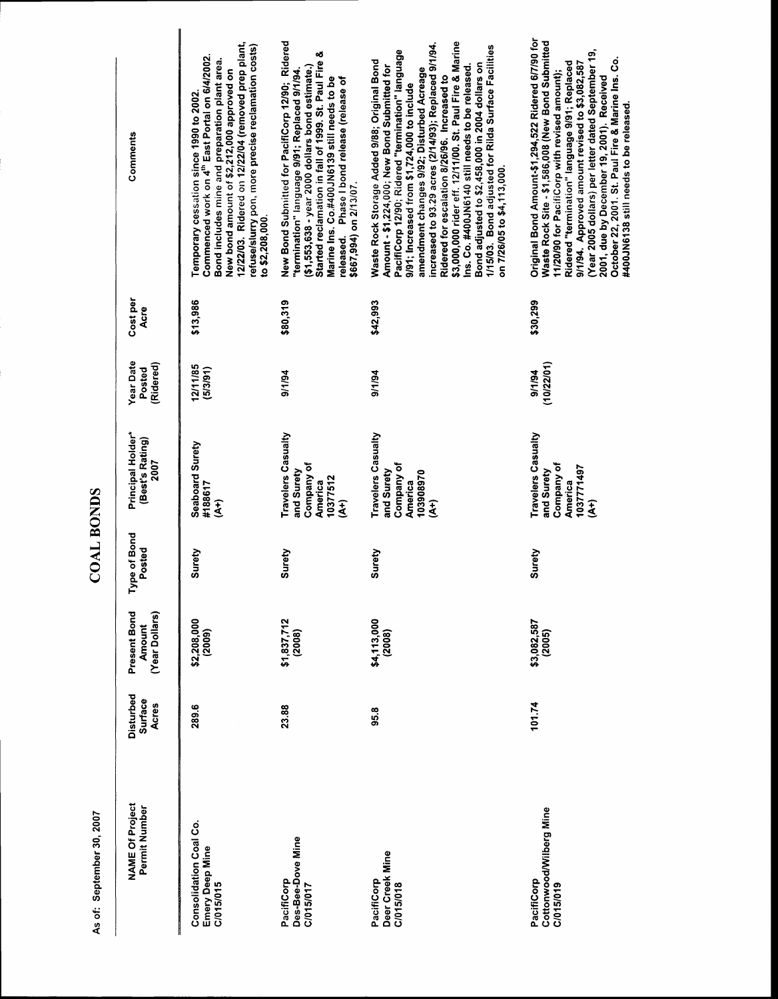▐

| Comments                                        | 12/22/03. Ridered on 12/22/04 (removed prep plant,<br>refuse/slurry pon, more precise reclamation costs)<br>Commenced work on 4 <sup>th</sup> East Portal on 6/4/2002.<br>Bond includes mine and preparation plant area.<br>New bond amount of \$2,212,000 approved on<br>Temporary cessation since 1990 to 2002<br>to \$2,208,000. | New Bond Submitted for PacifiCorp 12/90; Ridered<br>Started reclamation in fall of 1999. St. Paul Fire &<br>$(51,553,638 - year 2000 dollars bond estimate.)$<br>"termination" language 9/91; Replaced 9/1/94<br>Marine Ins. Co.#400JN6139 still needs to be<br>released. Phase I bond release (release of<br>\$667,994) on 2/13/07 | \$3,000,000 rider eff. 12/11/00. St. Paul Fire & Marine<br>increased to 93.29 acres (2/14/93); Replaced 9/1/94.<br>1/15/03. Bond adjusted for Rilda Surface Facilities<br>PacifiCorp 12/90; Ridered "termination" language<br>Waste Rock Storage Added 9/88; Original Bond<br>Bond adjusted to \$2,458,000 in 2004 dollars on<br>Amount - \$1,224,000; New Bond Submitted for<br>ins. Co. #400JN6140 still needs to be released<br>amendment changes 9/92; Disturbed Acreage<br>Ridered for escalation 8/26/96. Increased to<br>9/91; Increased from \$1,724,000 to include<br>on 7/26/05 to \$4,113,000 | Original Bond Amount-\$1,294,522 Ridered 6/7/90 for<br>Waste Rock Site - \$1,586,008 (New Bond Submitted<br>(Year 2005 dollars) per letter dated September 19,<br>October 22, 2001. St. Paul Fire & Marine Ins. Co.<br>9/1/94. Approved amount revised to \$3,082,587<br>Ridered "termination" language 9/91; Replaced<br>11/20/90 for PacifiCorp with revised amount);<br>2001, due by December 19, 2001). Received<br>#400JN6138 still needs to be released. |
|-------------------------------------------------|-------------------------------------------------------------------------------------------------------------------------------------------------------------------------------------------------------------------------------------------------------------------------------------------------------------------------------------|-------------------------------------------------------------------------------------------------------------------------------------------------------------------------------------------------------------------------------------------------------------------------------------------------------------------------------------|----------------------------------------------------------------------------------------------------------------------------------------------------------------------------------------------------------------------------------------------------------------------------------------------------------------------------------------------------------------------------------------------------------------------------------------------------------------------------------------------------------------------------------------------------------------------------------------------------------|----------------------------------------------------------------------------------------------------------------------------------------------------------------------------------------------------------------------------------------------------------------------------------------------------------------------------------------------------------------------------------------------------------------------------------------------------------------|
| Cost per<br>Acre                                | \$13,986                                                                                                                                                                                                                                                                                                                            | \$80,319                                                                                                                                                                                                                                                                                                                            | \$42,993                                                                                                                                                                                                                                                                                                                                                                                                                                                                                                                                                                                                 | \$30,299                                                                                                                                                                                                                                                                                                                                                                                                                                                       |
| <b>Year Date</b><br>(Ridered)<br>Posted         | 12/11/85<br>(5/3/91)                                                                                                                                                                                                                                                                                                                | 9/1/94                                                                                                                                                                                                                                                                                                                              | 9/1/94                                                                                                                                                                                                                                                                                                                                                                                                                                                                                                                                                                                                   | (10/22/01)<br>9/1/94                                                                                                                                                                                                                                                                                                                                                                                                                                           |
| Principal Holder*<br>(Best's Rating)<br>2007    | Seaboard Surety<br>#188617<br>E                                                                                                                                                                                                                                                                                                     | <b>Travelers Casualty</b><br>Company of<br>and Surety<br>10377512<br>America<br>$\tilde{A}$                                                                                                                                                                                                                                         | Travelers Casualty<br>Company of<br>and Surety<br>103908970<br>America<br>€                                                                                                                                                                                                                                                                                                                                                                                                                                                                                                                              | Travelers Casualty<br>Company of<br>1037771497<br>and Surety<br><b>America</b><br>€                                                                                                                                                                                                                                                                                                                                                                            |
| Type of Bond<br>Posted                          | Surety                                                                                                                                                                                                                                                                                                                              | Surety                                                                                                                                                                                                                                                                                                                              | Surety                                                                                                                                                                                                                                                                                                                                                                                                                                                                                                                                                                                                   | Surety                                                                                                                                                                                                                                                                                                                                                                                                                                                         |
| Present Bond<br>(Year Dollars)<br><b>Amount</b> | \$2,208,000<br>(2009)                                                                                                                                                                                                                                                                                                               | \$1,837,712<br>(2008)                                                                                                                                                                                                                                                                                                               | \$4,113,000<br>(2008)                                                                                                                                                                                                                                                                                                                                                                                                                                                                                                                                                                                    | \$3,082,587<br>(2005)                                                                                                                                                                                                                                                                                                                                                                                                                                          |
| Disturbed<br><b>Surface</b><br>Acres            | 289.6                                                                                                                                                                                                                                                                                                                               | 23.88                                                                                                                                                                                                                                                                                                                               | 95.8                                                                                                                                                                                                                                                                                                                                                                                                                                                                                                                                                                                                     | 101.74                                                                                                                                                                                                                                                                                                                                                                                                                                                         |
| <b>NAME Of Project</b><br>Permit Number         | Consolidation Coal Co.<br>Emery Deep Mine<br>C/015/015                                                                                                                                                                                                                                                                              | Des-Bee-Dove Mine<br>PacifiCorp<br>C/015/017                                                                                                                                                                                                                                                                                        | Deer Creek Mine<br>PacifiCorp<br>C/015/018                                                                                                                                                                                                                                                                                                                                                                                                                                                                                                                                                               | Cottonwood/Wilberg Mine<br>PacifiCorp<br>C/015/019                                                                                                                                                                                                                                                                                                                                                                                                             |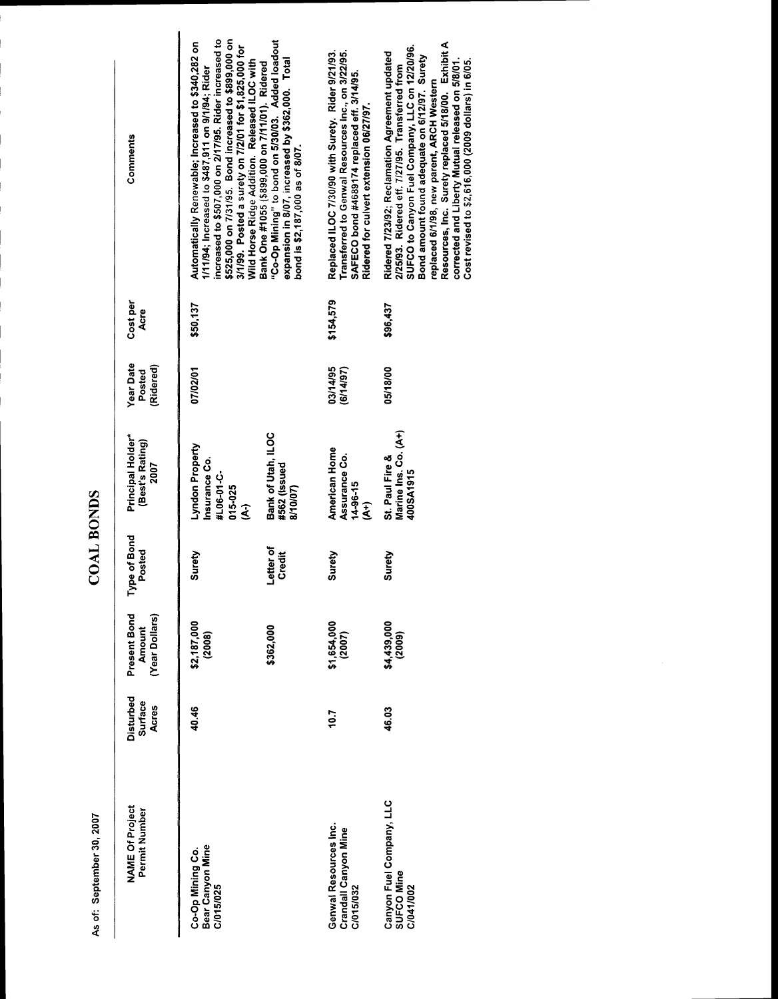| Comments                                        | increased to \$507,000 on 2/17/95. Rider increased to<br>\$525,000 on 7/31/95. Bond increased to \$899,000 on<br>Automatically Renewable; Increased to \$340,282 on<br>3/1/99. Posted a surety on 7/2/01 for \$1,825,000 for<br>Wild Horse Ridge Addition. Released ILOC with<br>1/11/94; Increased to \$487,911 on 9/1/94; Rider | "Co-Op Mining" to bond on 5/30/03. Added loadout<br>expansion in 8/07, increased by \$362,000. Total<br>Bank One #1055 (\$899,000 on 7/11/01). Ridered<br>bond is \$2,187,000 as of 8/07. | Transferred to Genwal Resources Inc., on 3/22/95.<br>Replaced ILOC 7/30/90 with Surety. Rider 9/21/93.<br>SAFECO bond #4689174 replaced eff. 3/14/95.<br>Ridered for culvert extension 06/27/97 | Resources, Inc. Surety replaced 5/18/00. Exhibit A<br>SUFCO to Canyon Fuel Company, LLC on 12/20/96.<br>Ridered 7/23/92; Reclamation Agreement updated<br>Bond amount found adequate on 6/12/97. Surety<br>corrected and Liberty Mutual released on 5/8/01.<br>Cost revised to \$2,616,000 (2009 dollars) in 6/05.<br>2/25/93. Ridered eff. 7/27/95. Transferred from<br>replaced 6/1/98, new parent, ARCH Western |
|-------------------------------------------------|-----------------------------------------------------------------------------------------------------------------------------------------------------------------------------------------------------------------------------------------------------------------------------------------------------------------------------------|-------------------------------------------------------------------------------------------------------------------------------------------------------------------------------------------|-------------------------------------------------------------------------------------------------------------------------------------------------------------------------------------------------|--------------------------------------------------------------------------------------------------------------------------------------------------------------------------------------------------------------------------------------------------------------------------------------------------------------------------------------------------------------------------------------------------------------------|
| Cost per<br>Acre                                | \$50,137                                                                                                                                                                                                                                                                                                                          |                                                                                                                                                                                           | \$154,579                                                                                                                                                                                       | \$96,437                                                                                                                                                                                                                                                                                                                                                                                                           |
| <b>Year Date</b><br>(Ridered)<br>Posted         | 07/02/01                                                                                                                                                                                                                                                                                                                          |                                                                                                                                                                                           | 03/14/95<br>(6/14/97)                                                                                                                                                                           | 05/18/00                                                                                                                                                                                                                                                                                                                                                                                                           |
| Principal Holder*<br>(Best's Rating)<br>2007    | Lyndon Property<br>Insurance Co.<br>#L06-01-C-<br>015-025<br>ડે                                                                                                                                                                                                                                                                   | Bank of Utah, ILOC<br>#562 (Issued<br>8/10/07)                                                                                                                                            | American Home<br>Assurance Co.<br>14-96-15<br>£                                                                                                                                                 | Marine Ins. Co. (A+)<br>St. Paul Fire &<br>400SA1915                                                                                                                                                                                                                                                                                                                                                               |
| Type of Bond<br>Posted                          | Surety                                                                                                                                                                                                                                                                                                                            | Letter of<br><b>Credit</b>                                                                                                                                                                | Surety                                                                                                                                                                                          | Surety                                                                                                                                                                                                                                                                                                                                                                                                             |
| Present Bond<br>(Year Dollars)<br><b>Amount</b> | \$2,187,000<br>(2008)                                                                                                                                                                                                                                                                                                             | \$362,000                                                                                                                                                                                 | \$1,654,000<br>(2007)                                                                                                                                                                           | \$4,439,000<br>(2009)                                                                                                                                                                                                                                                                                                                                                                                              |
| Disturbed<br>Surface<br>Acres                   | 40.46                                                                                                                                                                                                                                                                                                                             |                                                                                                                                                                                           | 10.7                                                                                                                                                                                            | 46.03                                                                                                                                                                                                                                                                                                                                                                                                              |
| <b>NAME Of Project</b><br>Permit Number         | Bear Canyon Mine<br>C/015/025<br>Co-Op Mining Co.                                                                                                                                                                                                                                                                                 |                                                                                                                                                                                           | Genwal Resources Inc.<br><b>Crandall Canyon Mine</b><br>C/015/032                                                                                                                               | Canyon Fuel Company, LLC<br>SUFCO Mine<br>C/041/002                                                                                                                                                                                                                                                                                                                                                                |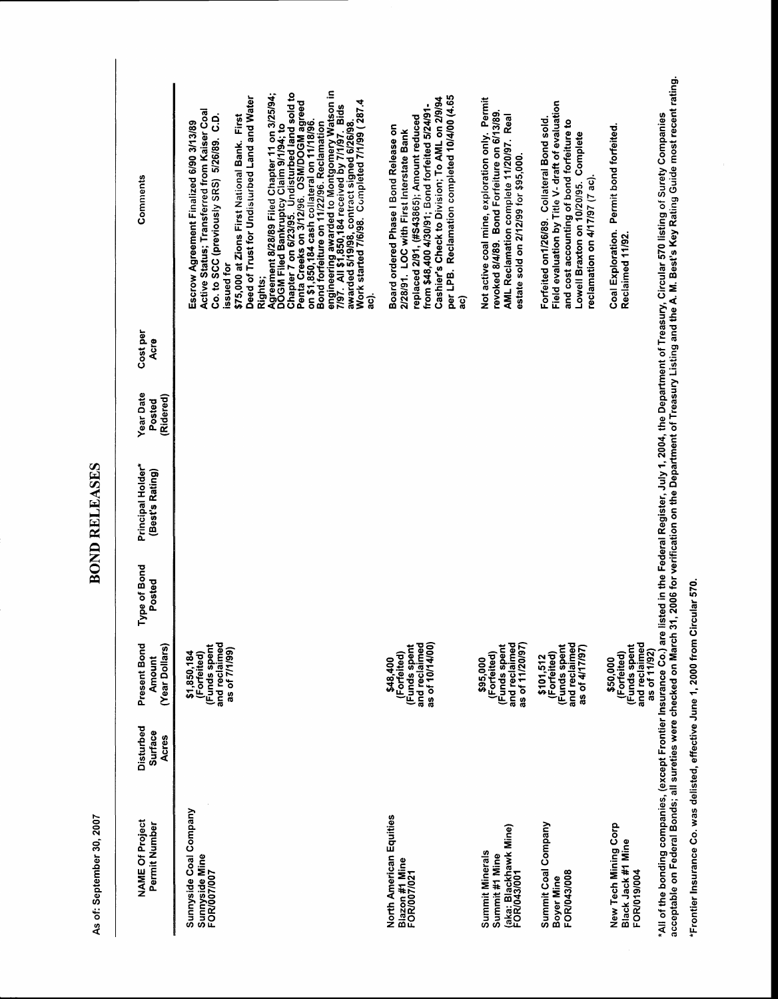J

# **BOND RELEASES**

| Comments                                        | engineering awarded to Montgomery Watson in<br>7/97.  All \$1,850,184 received by 7/1/97.  Bids<br>awarded 5/19/98, contract signed 6/26/98.<br>Chapter 7 on 6/23/95. Undisturbed land sold to<br>Agreement 8/28/89 Filed Chapter 11 on 3/25/94;<br>Deed of Trust for Undisturbed Land and Water<br>Work started 7/6/98. Completed 7/1/99 (287.4<br>Penta Creeks on 3/12/96. OSM/DOGM agreed<br>Active Status; Transferred from Kaiser Coal<br>c.p.<br>\$75,000 at Zions First National Bank. First<br>on \$1,850,184 cash collateral on 11/18/96.<br>Escrow Agreement Finalized 6/90 3/13/89<br>Bond forfeiture on 11/22/96. Reclamation<br>DOGM Filed Bankruptcy Claim 9/1/94; to<br>Co. to SCC (previously SRS) 5/26/89.<br>issued for<br>Rights;<br>ក្ខ | per LPB. Reclamation completed 10/4/00 (4.65<br>Cashier's Check to Division; To AML on 2/9/94<br>from \$48,400 4/30/91; Bond forfeited 5/24/91-<br>replaced 2/91, (#S43865); Amount reduced<br>Board ordered Phase I Bond Release on<br>2/28/91. LOC with First Interstate Bank<br>බූ | Not active coal mine, exploration only. Permit<br>revoked 8/4/89. Bond Forfeiture on 6/13/89.<br>AML Reclamation complete 11/20/97. Real<br>estate sold on 2/12/99 for \$95,000. | Field evaluation by Title V- draft of evaluation<br>Forfeited on1/26/89. Collateral Bond sold.<br>and cost accounting of bond forfeiture to<br>Lowell Braxton on 10/20/95. Complete<br>reclamation on 4/17/97 (7 ac). | acceptable on Federal Bonds; all sureties were checked on March 31, 2006 for verification on the Department of Treasury Listing and the A. M. Best's Key Rating Guide most recent rating.<br>*All of the bonding companies, (except Frontier Insurance Co.) are listed in the Federal Register, July 1, 2004, the Department of Treasury, Circular 570 listing of Surety Companies<br>Permit bond forfeited.<br>Coal Exploration.<br>Reclaimed 11/92. |
|-------------------------------------------------|-------------------------------------------------------------------------------------------------------------------------------------------------------------------------------------------------------------------------------------------------------------------------------------------------------------------------------------------------------------------------------------------------------------------------------------------------------------------------------------------------------------------------------------------------------------------------------------------------------------------------------------------------------------------------------------------------------------------------------------------------------------|---------------------------------------------------------------------------------------------------------------------------------------------------------------------------------------------------------------------------------------------------------------------------------------|----------------------------------------------------------------------------------------------------------------------------------------------------------------------------------|-----------------------------------------------------------------------------------------------------------------------------------------------------------------------------------------------------------------------|-------------------------------------------------------------------------------------------------------------------------------------------------------------------------------------------------------------------------------------------------------------------------------------------------------------------------------------------------------------------------------------------------------------------------------------------------------|
| Cost per<br>Acre                                |                                                                                                                                                                                                                                                                                                                                                                                                                                                                                                                                                                                                                                                                                                                                                             |                                                                                                                                                                                                                                                                                       |                                                                                                                                                                                  |                                                                                                                                                                                                                       |                                                                                                                                                                                                                                                                                                                                                                                                                                                       |
| <b>Year Date</b><br>(Ridered)<br>Posted         |                                                                                                                                                                                                                                                                                                                                                                                                                                                                                                                                                                                                                                                                                                                                                             |                                                                                                                                                                                                                                                                                       |                                                                                                                                                                                  |                                                                                                                                                                                                                       |                                                                                                                                                                                                                                                                                                                                                                                                                                                       |
| Principal Holder*<br>(Best's Rating)            |                                                                                                                                                                                                                                                                                                                                                                                                                                                                                                                                                                                                                                                                                                                                                             |                                                                                                                                                                                                                                                                                       |                                                                                                                                                                                  |                                                                                                                                                                                                                       |                                                                                                                                                                                                                                                                                                                                                                                                                                                       |
| Type of Bond<br>Posted                          |                                                                                                                                                                                                                                                                                                                                                                                                                                                                                                                                                                                                                                                                                                                                                             |                                                                                                                                                                                                                                                                                       |                                                                                                                                                                                  |                                                                                                                                                                                                                       |                                                                                                                                                                                                                                                                                                                                                                                                                                                       |
| Present Bond<br>(Year Dollars)<br><b>Amount</b> | (Funds spent<br>and reclaimed<br>as of 7/1/99)<br>\$1,850,184<br>(Forfeited)                                                                                                                                                                                                                                                                                                                                                                                                                                                                                                                                                                                                                                                                                | and reclaimed<br>as of 10/14/00)<br>(Funds spent<br>(Forfeited)<br>\$48,400                                                                                                                                                                                                           | (Funds spent<br>and reclaimed<br>as of 11/20/97)<br>(Forfeited)<br>\$95,000                                                                                                      | (Funds spent<br>and reclaimed<br>as of 4/17/97)<br>(Forfeited)<br>\$101,512                                                                                                                                           | and reclaimed<br>(Funds spent<br>as of 11/92)<br>(Forfeited)<br>\$50,000                                                                                                                                                                                                                                                                                                                                                                              |
| Disturbed<br>Surface<br>Acres                   |                                                                                                                                                                                                                                                                                                                                                                                                                                                                                                                                                                                                                                                                                                                                                             |                                                                                                                                                                                                                                                                                       |                                                                                                                                                                                  |                                                                                                                                                                                                                       |                                                                                                                                                                                                                                                                                                                                                                                                                                                       |
| <b>NAME Of Project</b><br>Permit Number         | Sunnyside Coal Company<br>Sunnyside Mine<br>FOR/007/007                                                                                                                                                                                                                                                                                                                                                                                                                                                                                                                                                                                                                                                                                                     | North American Equities<br>Blazon #1 Mine<br>FOR/007/021                                                                                                                                                                                                                              | (aka: Blackhawk Mine)<br>FOR/043/001<br>Summit Minerals<br>Summit #1 Mine                                                                                                        | Summit Coal Company<br>FOR/043/008<br>Boyer Mine                                                                                                                                                                      | New Tech Mining Corp<br>Black Jack #1 Mine<br>FOR/019/004                                                                                                                                                                                                                                                                                                                                                                                             |

\*Frontier Insurance Co. was delisted, effective June 1, 2000 from Circular 570.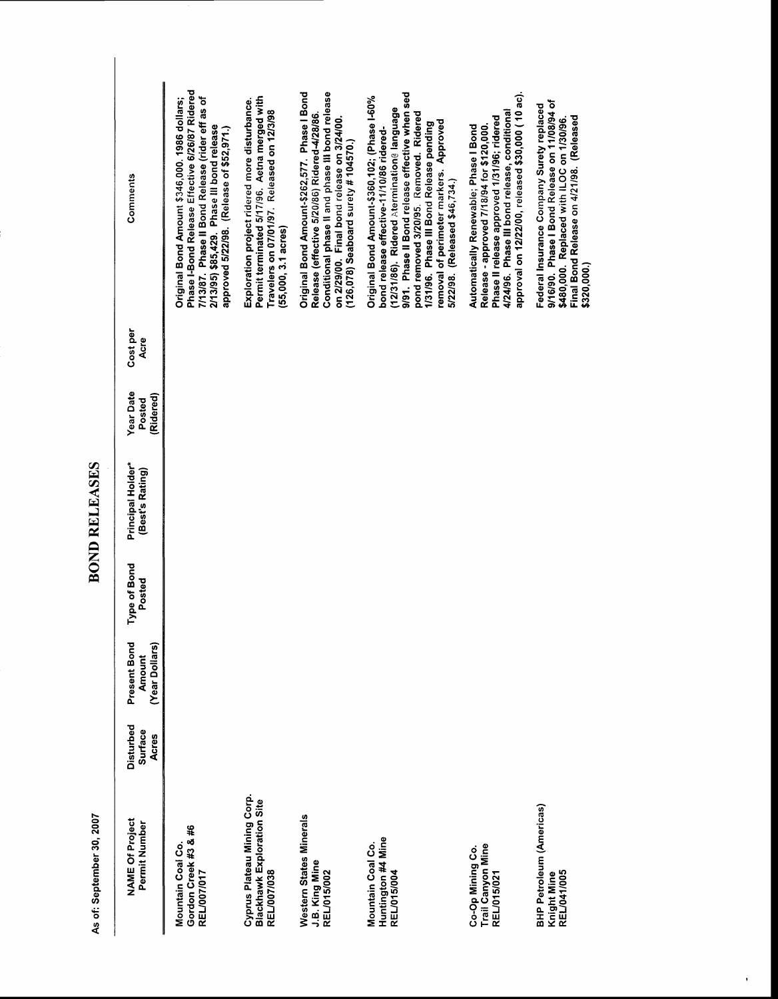# **BOND RELEASES**

| Comments                                 | Phase I-Bond Release Effective 6/26/87 Ridered<br>7/13/87. Phase II Bond Release (rider eff as of<br>Original Bond Amount \$346,000. 1986 dollars;<br>2/13/95) \$85,429. Phase III bond release<br>approved 5/22/98. (Release of \$52,971.) | Permit terminated 5/17/96. Aetna merged with<br>Exploration project ridered more disturbance.<br>Travelers on 07/01/97. Released on 12/3/98<br>$(55,000, 3.1 \text{ acres})$ | Original Bond Amount-\$262,577. Phase I Bond<br>Conditional phase II and phase III bond release<br>Release (effective 5/20/86) Ridered-4/28/86.<br>on 2/29/00. Final bond release on 3/24/00.<br>$(126,078)$ Seaboard surety # 104570.) | 9/91. Phase II Bond release effective when sed<br>Original Bond Amount-\$360,102; (Phase I-60%<br>(12/31/86). Ridered Atermination@ language<br>pond removed 3/20/95. Removed. Ridered<br>removal of perimeter markers. Approved<br>1/31/96. Phase III Bond Release pending<br>bond release effective-11/10/86 ridered-<br>5/22/98. (Released \$46,734.) | approval on 12/22/00, released \$30,000 (10 ac).<br>4/24/96. Phase III bond release, conditional<br>Phase II release approved 1/31/96; ridered<br>Release - approved 7/18/94 for \$120,000.<br>Automatically Renewable; Phase I Bond | 9/16/90. Phase I Bond Release on 11/08/94 of<br>Federal Insurance Company Surety replaced<br>Final Bond Release on 4/21/98. (Released<br>\$480,000. Replaced with ILOC on 1/30/96.<br>\$320,000.) |
|------------------------------------------|---------------------------------------------------------------------------------------------------------------------------------------------------------------------------------------------------------------------------------------------|------------------------------------------------------------------------------------------------------------------------------------------------------------------------------|-----------------------------------------------------------------------------------------------------------------------------------------------------------------------------------------------------------------------------------------|----------------------------------------------------------------------------------------------------------------------------------------------------------------------------------------------------------------------------------------------------------------------------------------------------------------------------------------------------------|--------------------------------------------------------------------------------------------------------------------------------------------------------------------------------------------------------------------------------------|---------------------------------------------------------------------------------------------------------------------------------------------------------------------------------------------------|
| Cost per<br>Acre                         |                                                                                                                                                                                                                                             |                                                                                                                                                                              |                                                                                                                                                                                                                                         |                                                                                                                                                                                                                                                                                                                                                          |                                                                                                                                                                                                                                      |                                                                                                                                                                                                   |
| <b>Year Date</b><br>(Ridered)<br>Posted  |                                                                                                                                                                                                                                             |                                                                                                                                                                              |                                                                                                                                                                                                                                         |                                                                                                                                                                                                                                                                                                                                                          |                                                                                                                                                                                                                                      |                                                                                                                                                                                                   |
| Principal Holder*<br>(Best's Rating)     |                                                                                                                                                                                                                                             |                                                                                                                                                                              |                                                                                                                                                                                                                                         |                                                                                                                                                                                                                                                                                                                                                          |                                                                                                                                                                                                                                      |                                                                                                                                                                                                   |
| Type of Bond<br>Posted                   |                                                                                                                                                                                                                                             |                                                                                                                                                                              |                                                                                                                                                                                                                                         |                                                                                                                                                                                                                                                                                                                                                          |                                                                                                                                                                                                                                      |                                                                                                                                                                                                   |
| Present Bond<br>(Year Dollars)<br>Amount |                                                                                                                                                                                                                                             |                                                                                                                                                                              |                                                                                                                                                                                                                                         |                                                                                                                                                                                                                                                                                                                                                          |                                                                                                                                                                                                                                      |                                                                                                                                                                                                   |
| Disturbed<br>Surface<br>Acres            |                                                                                                                                                                                                                                             |                                                                                                                                                                              |                                                                                                                                                                                                                                         |                                                                                                                                                                                                                                                                                                                                                          |                                                                                                                                                                                                                                      |                                                                                                                                                                                                   |
| <b>NAME Of Project</b><br>Permit Number  | Gordon Creek #3 & #6<br>Mountain Coal Co.<br>REL/007/017                                                                                                                                                                                    | Cyprus Plateau Mining Corp.<br><b>Blackhawk Exploration Site</b><br>REL/007/038                                                                                              | <b>Western States Minerals</b><br>J.B. King Mine<br>REL/015/002                                                                                                                                                                         | Huntington #4 Mine<br>Mountain Coal Co.<br>REL/015/004                                                                                                                                                                                                                                                                                                   | Trail Canyon Mine<br>Co-Op Mining Co.<br>REL/015/021                                                                                                                                                                                 | <b>BHP Petroleum (Americas)</b><br>REL/041/005<br>Knight Mine                                                                                                                                     |

 $\bullet$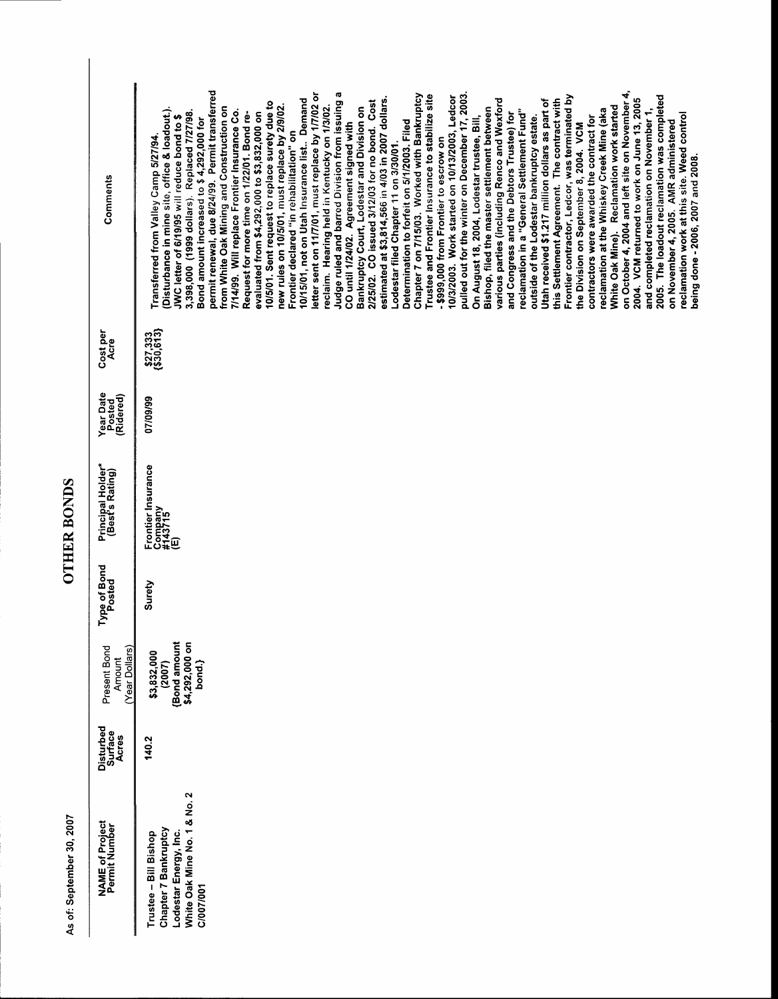## **OTHER BONDS**

| Comments                                   | permit renewal, due 8/24/99. Permit transferred<br>from White Oak Mining and Construction on<br>Disturbance in mine site, office & loadout.).<br>7/14/99. Will replace Frontier Insurance Co.<br>1,398,000 (1999 dollars). Replaced 7/27/98.<br>Request for more time on 1/22/01. Bond re-<br>evaluated from \$4,292,000 to \$3,832,000 on<br>IWC letter of 6/19/95 will reduce bond to \$<br>Bond amount increased to \$4,292,000 for<br>Transferred from Valley Camp 5/27/94. |
|--------------------------------------------|---------------------------------------------------------------------------------------------------------------------------------------------------------------------------------------------------------------------------------------------------------------------------------------------------------------------------------------------------------------------------------------------------------------------------------------------------------------------------------|
| Cost per<br>Acre                           | \$27,333<br>(\$30,613}                                                                                                                                                                                                                                                                                                                                                                                                                                                          |
| Year Date<br>Posted<br>(Ridered)           | 07/09/99                                                                                                                                                                                                                                                                                                                                                                                                                                                                        |
| Principal Holder*<br>(Best's Rating)       | Frontier Insurance<br>Company<br>#143715                                                                                                                                                                                                                                                                                                                                                                                                                                        |
| Type of Bond<br>Posted                     | Surety                                                                                                                                                                                                                                                                                                                                                                                                                                                                          |
| Present Bond<br>စ<br>Amount<br>Year Dollar | ā<br>Bond amoun<br>\$3,832,000<br>(2007)<br>\$4,292,000<br>bond.}                                                                                                                                                                                                                                                                                                                                                                                                               |
| Disturbed<br>Surface<br>Acres              | <b>140.2</b>                                                                                                                                                                                                                                                                                                                                                                                                                                                                    |
| <b>NAME of Project</b><br>Permit Number    | White Oak Mine No. 1 & No. 2<br>Chapter 7 Bankruptcy<br>Lodestar Energy, Inc.<br>Trustee - Bill Bishop<br>1007/001                                                                                                                                                                                                                                                                                                                                                              |
|                                            |                                                                                                                                                                                                                                                                                                                                                                                                                                                                                 |

Judge ruled and barred Division from issuing a

CO until 1/24/02. Agreement signed with

pulled out for the winter on December 17, 2003.

-\$999,000 from Frontier to escrow on

various parties (including Renco and Wexford

and Congress and the Debtors Trustee) for

Bishop, filed the master settlement between

On August 18, 2004, Lodestar trustee, Bill,

Chapter 7 on 7/15/03. Worked with Bankruptcy Trustee and Frontier Insurance to stabilize site 10/3/2003. Work started on 10/13/2003, Ledcor

Determination to forfeit on 5/1/2003. Filed

Lodestar filed Chapter 11 on 3/30/01.

estimated at \$3,814,566 in 4/03 in 2007 dollars.

2/25/02. CO issued 3/12/03 for no bond. Cost

Bankruptcy Court, Lodestar and Division on

letter sent on 11/7/01, must replace by 1/7/02 or

reclaim. Hearing held in Kentucky on 1/3/02.

10/15/01, not on Utah Insurance list.. Demand

Frontier declared "in rehabilitation" on

10/5/01. Sent request to replace surety due to<br>new rules on 10/5/01, must replace by 2/9/02.

on October 4, 2004 and left site on November 4,

White Oak Mine). Reclamation work started

reclamation at the Whiskey Creek Mine (aka

contractors were awarded the contract for

the Division on September 8, 2004. VCM

2004. VCM returned to work on June 13, 2005

2005. The loadout reclamation was completed

reclamation work at this site. Weed control

being done - 2006, 2007 and 2008.

on November 4, 2005. AMR administered

and completed reclamation on November 1,

Frontier contractor, Ledcor, was terminated by

this Settlement Agreement. The contract with

Utah received \$1.217 million dollars as part of

reclamation in a "General Settlement Fund"

outside of the Lodestar bankruptcy estate.